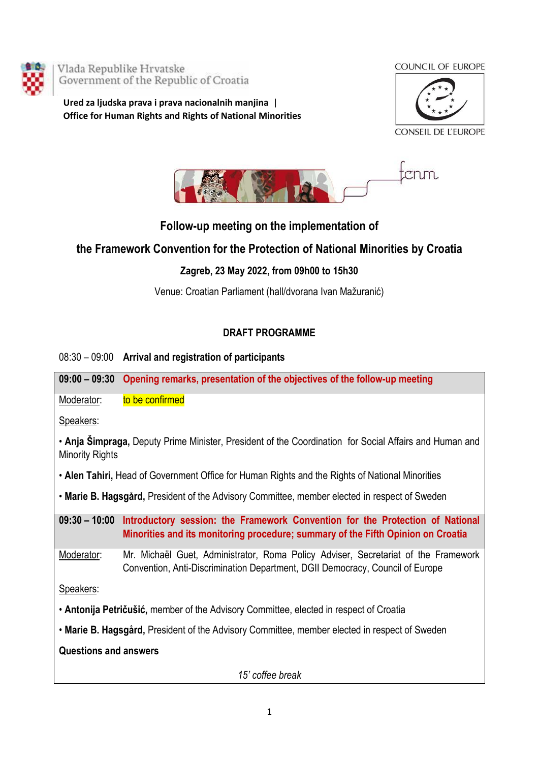

Vlada Republike Hrvatske Government of the Republic of Croatia

**Ured za ljudska prava i prava nacionalnih manjina** | **Office for Human Rights and Rights of National Minorities**







## **Follow-up meeting on the implementation of**

## **the Framework Convention for the Protection of National Minorities by Croatia**

## **Zagreb, 23 May 2022, from 09h00 to 15h30**

Venue: Croatian Parliament (hall/dvorana Ivan Mažuranić)

## **DRAFT PROGRAMME**

| 08:30 - 09:00 Arrival and registration of participants |  |
|--------------------------------------------------------|--|
|                                                        |  |

**09:00 – 09:30 Opening remarks, presentation of the objectives of the follow-up meeting**

Moderator: to be confirmed

Speakers:

• **[Anja Šimpraga](https://en.wikipedia.org/w/index.php?title=Anja_%C5%A0impraga&action=edit&redlink=1),** Deputy Prime Minister, President of the Coordination for Social Affairs and Human and Minority Rights

• **Alen Tahiri,** Head of Government Office for Human Rights and the Rights of National Minorities

• **Marie B. Hagsgård,** President of the Advisory Committee, member elected in respect of Sweden

**09:30 – 10:00 Introductory session: the Framework Convention for the Protection of National Minorities and its monitoring procedure; summary of the Fifth Opinion on Croatia**

Moderator: Mr. Michaël Guet, Administrator, Roma Policy Adviser, Secretariat of the Framework Convention, Anti-Discrimination Department, DGII Democracy, Council of Europe

Speakers:

• **Antonija Petričušić,** member of the Advisory Committee, elected in respect of Croatia

• **Marie B. Hagsgård,** President of the Advisory Committee, member elected in respect of Sweden

**Questions and answers**

*15' coffee break*